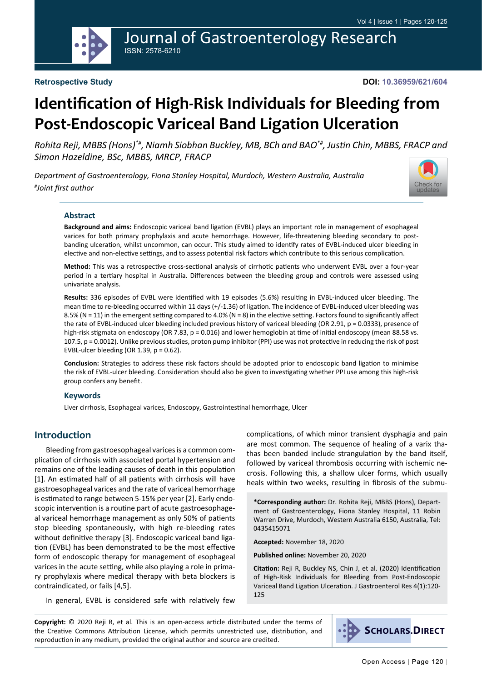## Journal of Gastroenterology Research ISSN: 2578-6210

**DOI: 10.36959/621/604**

# **Identification of High-Risk Individuals for Bleeding from Post-Endoscopic Variceal Band Ligation Ulceration**

*Rohita Reji, MBBS (Hons)\*#, Niamh Siobhan Buckley, MB, BCh and BAO\*#, Justin Chin, MBBS, FRACP and Simon Hazeldine, BSc, MBBS, MRCP, FRACP*

*Department of Gastroenterology, Fiona Stanley Hospital, Murdoch, Western Australia, Australia # Joint first author*



#### **Abstract**

**Background and aims:** Endoscopic variceal band ligation (EVBL) plays an important role in management of esophageal varices for both primary prophylaxis and acute hemorrhage. However, life-threatening bleeding secondary to postbanding ulceration, whilst uncommon, can occur. This study aimed to identify rates of EVBL-induced ulcer bleeding in elective and non-elective settings, and to assess potential risk factors which contribute to this serious complication.

**Method:** This was a retrospective cross-sectional analysis of cirrhotic patients who underwent EVBL over a four-year period in a tertiary hospital in Australia. Differences between the bleeding group and controls were assessed using univariate analysis.

**Results:** 336 episodes of EVBL were identified with 19 episodes (5.6%) resulting in EVBL-induced ulcer bleeding. The mean time to re-bleeding occurred within 11 days (+/-1.36) of ligation. The incidence of EVBL-induced ulcer bleeding was 8.5% (N = 11) in the emergent setting compared to 4.0% (N = 8) in the elective setting. Factors found to significantly affect the rate of EVBL-induced ulcer bleeding included previous history of variceal bleeding (OR 2.91, p = 0.0333), presence of high-risk stigmata on endoscopy (OR 7.83, p = 0.016) and lower hemoglobin at time of initial endoscopy (mean 88.58 vs. 107.5, p = 0.0012). Unlike previous studies, proton pump inhibitor (PPI) use was not protective in reducing the risk of post EVBL-ulcer bleeding (OR 1.39,  $p = 0.62$ ).

**Conclusion:** Strategies to address these risk factors should be adopted prior to endoscopic band ligation to minimise the risk of EVBL-ulcer bleeding. Consideration should also be given to investigating whether PPI use among this high-risk group confers any benefit.

#### **Keywords**

Liver cirrhosis, Esophageal varices, Endoscopy, Gastrointestinal hemorrhage, Ulcer

### **Introduction**

Bleeding from gastroesophageal varices is a common complication of cirrhosis with associated portal hypertension and remains one of the leading causes of death in this population [1]. An estimated half of all patients with cirrhosis will have gastroesophageal varices and the rate of variceal hemorrhage is estimated to range between 5-15% per year [2]. Early endoscopic intervention is a routine part of acute gastroesophageal variceal hemorrhage management as only 50% of patients stop bleeding spontaneously, with high re-bleeding rates without definitive therapy [3]. Endoscopic variceal band ligation (EVBL) has been demonstrated to be the most effective form of endoscopic therapy for management of esophageal varices in the acute setting, while also playing a role in primary prophylaxis where medical therapy with beta blockers is contraindicated, or fails [4,5].

In general, EVBL is considered safe with relatively few

complications, of which minor transient dysphagia and pain are most common. The sequence of healing of a varix thathas been banded include strangulation by the band itself, followed by variceal thrombosis occurring with ischemic necrosis. Following this, a shallow ulcer forms, which usually heals within two weeks, resulting in fibrosis of the submu-

**\*Corresponding author:** Dr. Rohita Reji, MBBS (Hons), Department of Gastroenterology, Fiona Stanley Hospital, 11 Robin Warren Drive, Murdoch, Western Australia 6150, Australia, Tel: 0435415071

**Accepted:** November 18, 2020

**Published online:** November 20, 2020

**Citation:** Reji R, Buckley NS, Chin J, et al. (2020) Identification of High-Risk Individuals for Bleeding from Post-Endoscopic Variceal Band Ligation Ulceration. J Gastroenterol Res 4(1):120- 125

**Copyright:** © 2020 Reji R, et al. This is an open-access article distributed under the terms of the Creative Commons Attribution License, which permits unrestricted use, distribution, and reproduction in any medium, provided the original author and source are credited.

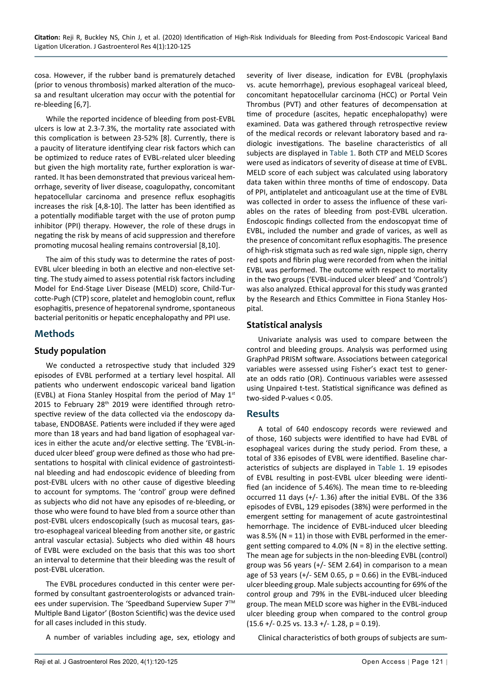cosa. However, if the rubber band is prematurely detached (prior to venous thrombosis) marked alteration of the mucosa and resultant ulceration may occur with the potential for re-bleeding [6,7].

While the reported incidence of bleeding from post-EVBL ulcers is low at 2.3-7.3%, the mortality rate associated with this complication is between 23-52% [8]. Currently, there is a paucity of literature identifying clear risk factors which can be optimized to reduce rates of EVBL-related ulcer bleeding but given the high mortality rate, further exploration is warranted. It has been demonstrated that previous variceal hemorrhage, severity of liver disease, coagulopathy, concomitant hepatocellular carcinoma and presence reflux esophagitis increases the risk [4,8-10]. The latter has been identified as a potentially modifiable target with the use of proton pump inhibitor (PPI) therapy. However, the role of these drugs in negating the risk by means of acid suppression and therefore promoting mucosal healing remains controversial [8,10].

The aim of this study was to determine the rates of post-EVBL ulcer bleeding in both an elective and non-elective setting. The study aimed to assess potential risk factors including Model for End-Stage Liver Disease (MELD) score, Child-Turcotte-Pugh (CTP) score, platelet and hemoglobin count, reflux esophagitis, presence of hepatorenal syndrome, spontaneous bacterial peritonitis or hepatic encephalopathy and PPI use.

### **Methods**

### **Study population**

We conducted a retrospective study that included 329 episodes of EVBL performed at a tertiary level hospital. All patients who underwent endoscopic variceal band ligation (EVBL) at Fiona Stanley Hospital from the period of May  $1<sup>st</sup>$ 2015 to February 28<sup>th</sup> 2019 were identified through retrospective review of the data collected via the endoscopy database, ENDOBASE. Patients were included if they were aged more than 18 years and had band ligation of esophageal varices in either the acute and/or elective setting. The 'EVBL-induced ulcer bleed' group were defined as those who had presentations to hospital with clinical evidence of gastrointestinal bleeding and had endoscopic evidence of bleeding from post-EVBL ulcers with no other cause of digestive bleeding to account for symptoms. The 'control' group were defined as subjects who did not have any episodes of re-bleeding, or those who were found to have bled from a source other than post-EVBL ulcers endoscopically (such as mucosal tears, gastro-esophageal variceal bleeding from another site, or gastric antral vascular ectasia). Subjects who died within 48 hours of EVBL were excluded on the basis that this was too short an interval to determine that their bleeding was the result of post-EVBL ulceration.

The EVBL procedures conducted in this center were performed by consultant gastroenterologists or advanced trainees under supervision. The 'Speedband Superview Super 7<sup>™</sup> Multiple Band Ligator' (Boston Scientific) was the device used for all cases included in this study.

A number of variables including age, sex, etiology and

severity of liver disease, indication for EVBL (prophylaxis vs. acute hemorrhage), previous esophageal variceal bleed, concomitant hepatocellular carcinoma (HCC) or Portal Vein Thrombus (PVT) and other features of decompensation at time of procedure (ascites, hepatic encephalopathy) were examined. Data was gathered through retrospective review of the medical records or relevant laboratory based and radiologic investigations. The baseline characteristics of all subjects are displayed in [Table 1](#page-2-0). Both CTP and MELD Scores were used as indicators of severity of disease at time of EVBL. MELD score of each subject was calculated using laboratory data taken within three months of time of endoscopy. Data of PPI, antiplatelet and anticoagulant use at the time of EVBL was collected in order to assess the influence of these variables on the rates of bleeding from post-EVBL ulceration. Endoscopic findings collected from the endoscopyat time of EVBL, included the number and grade of varices, as well as the presence of concomitant reflux esophagitis. The presence of high-risk stigmata such as red wale sign, nipple sign, cherry red spots and fibrin plug were recorded from when the initial EVBL was performed. The outcome with respect to mortality in the two groups ('EVBL-induced ulcer bleed' and 'Controls') was also analyzed. Ethical approval for this study was granted by the Research and Ethics Committee in Fiona Stanley Hospital.

### **Statistical analysis**

Univariate analysis was used to compare between the control and bleeding groups. Analysis was performed using GraphPad PRISM software. Associations between categorical variables were assessed using Fisher's exact test to generate an odds ratio (OR). Continuous variables were assessed using Unpaired t-test. Statistical significance was defined as two-sided P-values < 0.05.

### **Results**

A total of 640 endoscopy records were reviewed and of those, 160 subjects were identified to have had EVBL of esophageal varices during the study period. From these, a total of 336 episodes of EVBL were identified. Baseline characteristics of subjects are displayed in [Table 1](#page-2-0). 19 episodes of EVBL resulting in post-EVBL ulcer bleeding were identified (an incidence of 5.46%). The mean time to re-bleeding occurred 11 days (+/- 1.36) after the initial EVBL. Of the 336 episodes of EVBL, 129 episodes (38%) were performed in the emergent setting for management of acute gastrointestinal hemorrhage. The incidence of EVBL-induced ulcer bleeding was 8.5% (N = 11) in those with EVBL performed in the emergent setting compared to 4.0% ( $N = 8$ ) in the elective setting. The mean age for subjects in the non-bleeding EVBL (control) group was 56 years (+/- SEM 2.64) in comparison to a mean age of 53 years  $(+/-$  SEM 0.65,  $p = 0.66$ ) in the EVBL-induced ulcer bleeding group. Male subjects accounting for 69% of the control group and 79% in the EVBL-induced ulcer bleeding group. The mean MELD score was higher in the EVBL-induced ulcer bleeding group when compared to the control group  $(15.6 + / - 0.25 \text{ vs. } 13.3 + / - 1.28, \text{ p} = 0.19).$ 

Clinical characteristics of both groups of subjects are sum-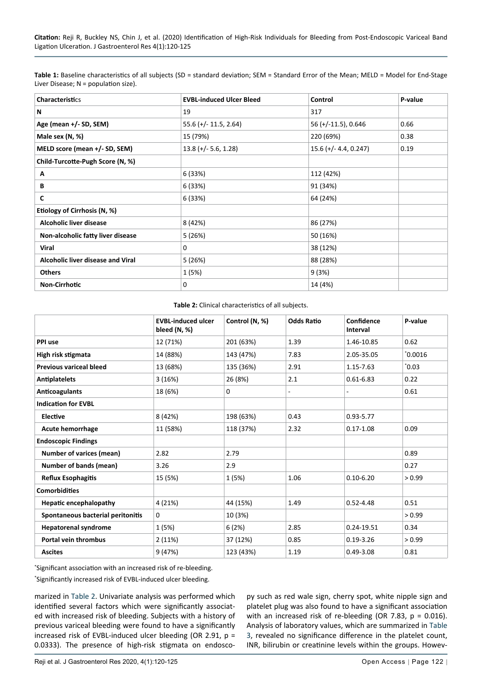<span id="page-2-0"></span>

| Table 1: Baseline characteristics of all subjects (SD = standard deviation; SEM = Standard Error of the Mean; MELD = Model for End-Stage |
|------------------------------------------------------------------------------------------------------------------------------------------|
| Liver Disease; $N =$ population size).                                                                                                   |

| <b>Characteristics</b>            | <b>EVBL-induced Ulcer Bleed</b> | Control                 | P-value |
|-----------------------------------|---------------------------------|-------------------------|---------|
| N                                 | 19                              | 317                     |         |
| Age (mean +/- SD, SEM)            | $55.6$ (+/- 11.5, 2.64)         | 56 (+/-11.5), 0.646     | 0.66    |
| Male sex (N, %)                   | 15 (79%)                        | 220 (69%)               | 0.38    |
| MELD score (mean +/- SD, SEM)     | $13.8 (+/- 5.6, 1.28)$          | $15.6 (+/- 4.4, 0.247)$ | 0.19    |
| Child-Turcotte-Pugh Score (N, %)  |                                 |                         |         |
| A                                 | 6 (33%)                         | 112 (42%)               |         |
| В                                 | 6 (33%)                         | 91 (34%)                |         |
| C                                 | 6 (33%)                         | 64 (24%)                |         |
| Etiology of Cirrhosis (N, %)      |                                 |                         |         |
| Alcoholic liver disease           | 8 (42%)                         | 86 (27%)                |         |
| Non-alcoholic fatty liver disease | 5(26%)                          | 50 (16%)                |         |
| <b>Viral</b>                      | 0                               | 38 (12%)                |         |
| Alcoholic liver disease and Viral | 5(26%)                          | 88 (28%)                |         |
| <b>Others</b>                     | 1 (5%)                          | 9(3%)                   |         |
| <b>Non-Cirrhotic</b>              | 0                               | 14 (4%)                 |         |

#### <span id="page-2-1"></span>**Table 2:** Clinical characteristics of all subjects.

|                                   | <b>EVBL-induced ulcer</b><br>bleed (N, %) | Control (N, %) | <b>Odds Ratio</b> | Confidence<br><b>Interval</b> | P-value |
|-----------------------------------|-------------------------------------------|----------------|-------------------|-------------------------------|---------|
| PPI use                           | 12 (71%)                                  | 201 (63%)      | 1.39              | 1.46-10.85                    | 0.62    |
| High risk stigmata                | 14 (88%)                                  | 143 (47%)      | 7.83              | 2.05-35.05                    | 0.0016  |
| <b>Previous variceal bleed</b>    | 13 (68%)                                  | 135 (36%)      | 2.91              | 1.15-7.63                     | 0.03    |
| <b>Antiplatelets</b>              | 3(16%)                                    | 26 (8%)        | 2.1               | $0.61 - 6.83$                 | 0.22    |
| Anticoagulants                    | 18 (6%)                                   | 0              | $\blacksquare$    |                               | 0.61    |
| <b>Indication for EVBL</b>        |                                           |                |                   |                               |         |
| <b>Elective</b>                   | 8 (42%)                                   | 198 (63%)      | 0.43              | $0.93 - 5.77$                 |         |
| <b>Acute hemorrhage</b>           | 11 (58%)                                  | 118 (37%)      | 2.32              | $0.17 - 1.08$                 | 0.09    |
| <b>Endoscopic Findings</b>        |                                           |                |                   |                               |         |
| <b>Number of varices (mean)</b>   | 2.82                                      | 2.79           |                   |                               | 0.89    |
| Number of bands (mean)            | 3.26                                      | 2.9            |                   |                               | 0.27    |
| <b>Reflux Esophagitis</b>         | 15 (5%)                                   | 1(5%)          | 1.06              | $0.10 - 6.20$                 | > 0.99  |
| <b>Comorbidities</b>              |                                           |                |                   |                               |         |
| <b>Hepatic encephalopathy</b>     | 4 (21%)                                   | 44 (15%)       | 1.49              | $0.52 - 4.48$                 | 0.51    |
| Spontaneous bacterial peritonitis | 0                                         | 10 (3%)        |                   |                               | > 0.99  |
| <b>Hepatorenal syndrome</b>       | 1 (5%)                                    | 6(2%)          | 2.85              | 0.24-19.51                    | 0.34    |
| <b>Portal vein thrombus</b>       | 2(11%)                                    | 37 (12%)       | 0.85              | $0.19 - 3.26$                 | > 0.99  |
| <b>Ascites</b>                    | 9 (47%)                                   | 123 (43%)      | 1.19              | $0.49 - 3.08$                 | 0.81    |

\* Significant association with an increased risk of re-bleeding.

\* Significantly increased risk of EVBL-induced ulcer bleeding.

marized in [Table 2.](#page-2-1) Univariate analysis was performed which identified several factors which were significantly associated with increased risk of bleeding. Subjects with a history of previous variceal bleeding were found to have a significantly increased risk of EVBL-induced ulcer bleeding (OR 2.91, p = 0.0333). The presence of high-risk stigmata on endoscopy such as red wale sign, cherry spot, white nipple sign and platelet plug was also found to have a significant association with an increased risk of re-bleeding (OR 7.83, p = 0.016). Analysis of laboratory values, which are summarized in [Table](#page-3-0)  [3,](#page-3-0) revealed no significance difference in the platelet count, INR, bilirubin or creatinine levels within the groups. Howev-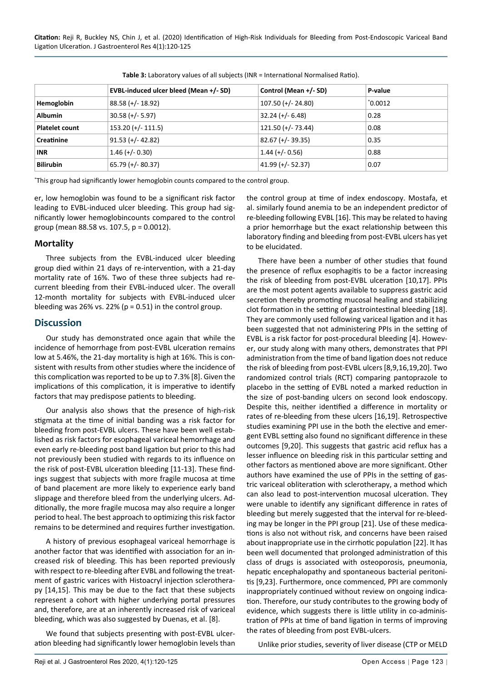|                       | EVBL-induced ulcer bleed (Mean +/- SD) | Control (Mean +/- SD) | P-value  |  |  |
|-----------------------|----------------------------------------|-----------------------|----------|--|--|
| Hemoglobin            | $88.58 (+/- 18.92)$                    | $107.50$ (+/- 24.80)  | "0.0012" |  |  |
| <b>Albumin</b>        | $30.58 (+/- 5.97)$                     | $32.24 (+/- 6.48)$    | 0.28     |  |  |
| <b>Platelet count</b> | $153.20$ (+/- 111.5)                   | $121.50$ (+/- 73.44)  | 0.08     |  |  |
| Creatinine            | $91.53 (+/- 42.82)$                    | $82.67 (+/- 39.35)$   | 0.35     |  |  |
| <b>INR</b>            | $1.46 (+/- 0.30)$                      | $1.44 (+/- 0.56)$     | 0.88     |  |  |
| <b>Bilirubin</b>      | $65.79 (+/- 80.37)$                    | $41.99 (+/- 52.37)$   | 0.07     |  |  |

<span id="page-3-0"></span>**Table 3:** Laboratory values of all subjects (INR = International Normalised Ratio).

\* This group had significantly lower hemoglobin counts compared to the control group.

er, low hemoglobin was found to be a significant risk factor leading to EVBL-induced ulcer bleeding. This group had significantly lower hemoglobincounts compared to the control group (mean 88.58 vs. 107.5, p = 0.0012).

### **Mortality**

Three subjects from the EVBL-induced ulcer bleeding group died within 21 days of re-intervention, with a 21-day mortality rate of 16%. Two of these three subjects had recurrent bleeding from their EVBL-induced ulcer. The overall 12-month mortality for subjects with EVBL-induced ulcer bleeding was 26% vs. 22% ( $p = 0.51$ ) in the control group.

### **Discussion**

Our study has demonstrated once again that while the incidence of hemorrhage from post-EVBL ulceration remains low at 5.46%, the 21-day mortality is high at 16%. This is consistent with results from other studies where the incidence of this complication was reported to be up to 7.3% [8]. Given the implications of this complication, it is imperative to identify factors that may predispose patients to bleeding.

Our analysis also shows that the presence of high-risk stigmata at the time of initial banding was a risk factor for bleeding from post-EVBL ulcers. These have been well established as risk factors for esophageal variceal hemorrhage and even early re-bleeding post band ligation but prior to this had not previously been studied with regards to its influence on the risk of post-EVBL ulceration bleeding [11-13]. These findings suggest that subjects with more fragile mucosa at time of band placement are more likely to experience early band slippage and therefore bleed from the underlying ulcers. Additionally, the more fragile mucosa may also require a longer period to heal. The best approach to optimizing this risk factor remains to be determined and requires further investigation.

A history of previous esophageal variceal hemorrhage is another factor that was identified with association for an increased risk of bleeding. This has been reported previously with respect to re-bleeding after EVBL and following the treatment of gastric varices with Histoacryl injection sclerotherapy [14,15]. This may be due to the fact that these subjects represent a cohort with higher underlying portal pressures and, therefore, are at an inherently increased risk of variceal bleeding, which was also suggested by Duenas, et al. [8].

We found that subjects presenting with post-EVBL ulceration bleeding had significantly lower hemoglobin levels than the control group at time of index endoscopy. Mostafa, et al. similarly found anemia to be an independent predictor of re-bleeding following EVBL [16]. This may be related to having a prior hemorrhage but the exact relationship between this laboratory finding and bleeding from post-EVBL ulcers has yet to be elucidated.

There have been a number of other studies that found the presence of reflux esophagitis to be a factor increasing the risk of bleeding from post-EVBL ulceration [10,17]. PPIs are the most potent agents available to suppress gastric acid secretion thereby promoting mucosal healing and stabilizing clot formation in the setting of gastrointestinal bleeding [18]. They are commonly used following variceal ligation and it has been suggested that not administering PPIs in the setting of EVBL is a risk factor for post-procedural bleeding [4]. However, our study along with many others, demonstrates that PPI administration from the time of band ligation does not reduce the risk of bleeding from post-EVBL ulcers [8,9,16,19,20]. Two randomized control trials (RCT) comparing pantoprazole to placebo in the setting of EVBL noted a marked reduction in the size of post-banding ulcers on second look endoscopy. Despite this, neither identified a difference in mortality or rates of re-bleeding from these ulcers [16,19]. Retrospective studies examining PPI use in the both the elective and emergent EVBL setting also found no significant difference in these outcomes [9,20]. This suggests that gastric acid reflux has a lesser influence on bleeding risk in this particular setting and other factors as mentioned above are more significant. Other authors have examined the use of PPIs in the setting of gastric variceal obliteration with sclerotherapy, a method which can also lead to post-intervention mucosal ulceration. They were unable to identify any significant difference in rates of bleeding but merely suggested that the interval for re-bleeding may be longer in the PPI group [21]. Use of these medications is also not without risk, and concerns have been raised about inappropriate use in the cirrhotic population [22]. It has been well documented that prolonged administration of this class of drugs is associated with osteoporosis, pneumonia, hepatic encephalopathy and spontaneous bacterial peritonitis [9,23]. Furthermore, once commenced, PPI are commonly inappropriately continued without review on ongoing indication. Therefore, our study contributes to the growing body of evidence, which suggests there is little utility in co-administration of PPIs at time of band ligation in terms of improving the rates of bleeding from post EVBL-ulcers.

Unlike prior studies, severity of liver disease (CTP or MELD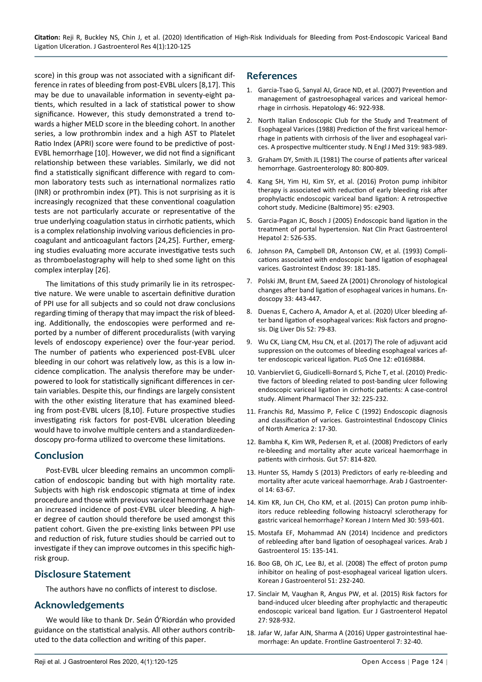score) in this group was not associated with a significant difference in rates of bleeding from post-EVBL ulcers [8,17]. This may be due to unavailable information in seventy-eight patients, which resulted in a lack of statistical power to show significance. However, this study demonstrated a trend towards a higher MELD score in the bleeding cohort. In another series, a low prothrombin index and a high AST to Platelet Ratio Index (APRI) score were found to be predictive of post-EVBL hemorrhage [10]. However, we did not find a significant relationship between these variables. Similarly, we did not find a statistically significant difference with regard to common laboratory tests such as international normalizes ratio (INR) or prothrombin index (PT). This is not surprising as it is increasingly recognized that these conventional coagulation tests are not particularly accurate or representative of the true underlying coagulation status in cirrhotic patients, which is a complex relationship involving various deficiencies in procoagulant and anticoagulant factors [24,25]. Further, emerging studies evaluating more accurate investigative tests such as thromboelastography will help to shed some light on this complex interplay [26].

The limitations of this study primarily lie in its retrospective nature. We were unable to ascertain definitive duration of PPI use for all subjects and so could not draw conclusions regarding timing of therapy that may impact the risk of bleeding. Additionally, the endoscopies were performed and reported by a number of different proceduralists (with varying levels of endoscopy experience) over the four-year period. The number of patients who experienced post-EVBL ulcer bleeding in our cohort was relatively low, as this is a low incidence complication. The analysis therefore may be underpowered to look for statistically significant differences in certain variables. Despite this, our findings are largely consistent with the other existing literature that has examined bleeding from post-EVBL ulcers [8,10]. Future prospective studies investigating risk factors for post-EVBL ulceration bleeding would have to involve multiple centers and a standardizedendoscopy pro-forma utilized to overcome these limitations.

### **Conclusion**

Post-EVBL ulcer bleeding remains an uncommon complication of endoscopic banding but with high mortality rate. Subjects with high risk endoscopic stigmata at time of index procedure and those with previous variceal hemorrhage have an increased incidence of post-EVBL ulcer bleeding. A higher degree of caution should therefore be used amongst this patient cohort. Given the pre-existing links between PPI use and reduction of risk, future studies should be carried out to investigate if they can improve outcomes in this specific highrisk group.

### **Disclosure Statement**

The authors have no conflicts of interest to disclose.

### **Acknowledgements**

We would like to thank Dr. Seán Ó'Riordán who provided guidance on the statistical analysis. All other authors contributed to the data collection and writing of this paper.

### **References**

- 1. [Garcia-Tsao G, Sanyal AJ, Grace ND, et al. \(2007\) Prevention and](https://pubmed.ncbi.nlm.nih.gov/17879356/)  [management of gastroesophageal varices and variceal hemor](https://pubmed.ncbi.nlm.nih.gov/17879356/)[rhage in cirrhosis. Hepatology 46: 922-938.](https://pubmed.ncbi.nlm.nih.gov/17879356/)
- 2. [North Italian Endoscopic Club for the Study and Treatment of](https://pubmed.ncbi.nlm.nih.gov/3262200/)  [Esophageal Varices \(1988\) Prediction of the first variceal hemor](https://pubmed.ncbi.nlm.nih.gov/3262200/)[rhage in patients with cirrhosis of the liver and esophageal vari](https://pubmed.ncbi.nlm.nih.gov/3262200/)[ces. A prospective multicenter study. N Engl J Med 319: 983-989.](https://pubmed.ncbi.nlm.nih.gov/3262200/)
- 3. [Graham DY, Smith JL \(1981\) The course of patients after variceal](https://pubmed.ncbi.nlm.nih.gov/6970703/)  [hemorrhage. Gastroenterology 80: 800-809.](https://pubmed.ncbi.nlm.nih.gov/6970703/)
- 4. [Kang SH, Yim HJ, Kim SY, et al. \(2016\) Proton pump inhibitor](https://pubmed.ncbi.nlm.nih.gov/26937932/)  [therapy is associated with reduction of early bleeding risk after](https://pubmed.ncbi.nlm.nih.gov/26937932/)  [prophylactic endoscopic variceal band ligation: A retrospective](https://pubmed.ncbi.nlm.nih.gov/26937932/)  [cohort study. Medicine \(Baltimore\) 95: e2903.](https://pubmed.ncbi.nlm.nih.gov/26937932/)
- 5. [Garcia-Pagan JC, Bosch J \(2005\) Endoscopic band ligation in the](https://pubmed.ncbi.nlm.nih.gov/16355158/)  [treatment of portal hypertension. Nat Clin Pract Gastroenterol](https://pubmed.ncbi.nlm.nih.gov/16355158/)  [Hepatol 2: 526-535.](https://pubmed.ncbi.nlm.nih.gov/16355158/)
- 6. [Johnson PA, Campbell DR, Antonson CW, et al. \(1993\) Compli](https://pubmed.ncbi.nlm.nih.gov/8495841/)[cations associated with endoscopic band ligation of esophageal](https://pubmed.ncbi.nlm.nih.gov/8495841/)  [varices. Gastrointest Endosc 39: 181-185.](https://pubmed.ncbi.nlm.nih.gov/8495841/)
- 7. [Polski JM, Brunt EM, Saeed ZA \(2001\) Chronology of histological](https://pubmed.ncbi.nlm.nih.gov/11396765/)  [changes after band ligation of esophageal varices in humans. En](https://pubmed.ncbi.nlm.nih.gov/11396765/)[doscopy 33: 443-447.](https://pubmed.ncbi.nlm.nih.gov/11396765/)
- 8. [Duenas E, Cachero A, Amador A, et al. \(2020\) Ulcer bleeding af](https://www.sciencedirect.com/science/article/pii/S1590865819306760)[ter band ligation of esophageal varices: Risk factors and progno](https://www.sciencedirect.com/science/article/pii/S1590865819306760)[sis. Dig Liver Dis 52: 79-83.](https://www.sciencedirect.com/science/article/pii/S1590865819306760)
- 9. [Wu CK, Liang CM, Hsu CN, et al. \(2017\) The role of adjuvant acid](https://journals.plos.org/plosone/article?id=10.1371/journal.pone.0169884)  [suppression on the outcomes of bleeding esophageal varices af](https://journals.plos.org/plosone/article?id=10.1371/journal.pone.0169884)[ter endoscopic variceal ligation. PLoS One 12: e0169884.](https://journals.plos.org/plosone/article?id=10.1371/journal.pone.0169884)
- 10. [Vanbiervliet G, Giudicelli-Bornard S, Piche T, et al. \(2010\) Predic](https://onlinelibrary.wiley.com/doi/full/10.1111/j.1365-2036.2010.04331.x)[tive factors of bleeding related to post-banding ulcer following](https://onlinelibrary.wiley.com/doi/full/10.1111/j.1365-2036.2010.04331.x)  [endoscopic variceal ligation in cirrhotic patients: A case-control](https://onlinelibrary.wiley.com/doi/full/10.1111/j.1365-2036.2010.04331.x)  [study. Aliment Pharmacol Ther 32: 225-232.](https://onlinelibrary.wiley.com/doi/full/10.1111/j.1365-2036.2010.04331.x)
- 11. [Franchis Rd, Massimo P, Felice C \(1992\) Endoscopic diagnosis](https://www.sciencedirect.com/science/article/abs/pii/S1052515718306548)  [and classification of varices. Gastrointestinal Endoscopy Clinics](https://www.sciencedirect.com/science/article/abs/pii/S1052515718306548)  [of North America 2: 17-30.](https://www.sciencedirect.com/science/article/abs/pii/S1052515718306548)
- 12. [Bambha K, Kim WR, Pedersen R, et al. \(2008\) Predictors of early](https://pubmed.ncbi.nlm.nih.gov/18250126/)  [re-bleeding and mortality after acute variceal haemorrhage in](https://pubmed.ncbi.nlm.nih.gov/18250126/)  [patients with cirrhosis. Gut 57: 814-820.](https://pubmed.ncbi.nlm.nih.gov/18250126/)
- 13. [Hunter SS, Hamdy S \(2013\) Predictors of early re-bleeding and](https://pubmed.ncbi.nlm.nih.gov/23820503/)  [mortality after acute variceal haemorrhage. Arab J Gastroenter](https://pubmed.ncbi.nlm.nih.gov/23820503/)[ol 14: 63-67.](https://pubmed.ncbi.nlm.nih.gov/23820503/)
- 14. [Kim KR, Jun CH, Cho KM, et al. \(2015\) Can proton pump inhib](https://pubmed.ncbi.nlm.nih.gov/26354053/)[itors reduce rebleeding following histoacryl sclerotherapy for](https://pubmed.ncbi.nlm.nih.gov/26354053/)  [gastric variceal hemorrhage? Korean J Intern Med 30: 593-601.](https://pubmed.ncbi.nlm.nih.gov/26354053/)
- 15. [Mostafa EF, Mohammad AN \(2014\) Incidence and predictors](https://pubmed.ncbi.nlm.nih.gov/25499212/)  [of rebleeding after band ligation of oesophageal varices. Arab J](https://pubmed.ncbi.nlm.nih.gov/25499212/)  [Gastroenterol 15: 135-141.](https://pubmed.ncbi.nlm.nih.gov/25499212/)
- 16. [Boo GB, Oh JC, Lee BJ, et al. \(2008\) The effect of proton pump](https://pubmed.ncbi.nlm.nih.gov/18516002/)  [inhibitor on healing of post-esophageal variceal ligation ulcers.](https://pubmed.ncbi.nlm.nih.gov/18516002/)  [Korean J Gastroenterol 51: 232-240.](https://pubmed.ncbi.nlm.nih.gov/18516002/)
- 17. [Sinclair M, Vaughan R, Angus PW, et al. \(2015\) Risk factors for](https://pubmed.ncbi.nlm.nih.gov/25951490/)  [band-induced ulcer bleeding after prophylactic and therapeutic](https://pubmed.ncbi.nlm.nih.gov/25951490/)  [endoscopic variceal band ligation. Eur J Gastroenterol Hepatol](https://pubmed.ncbi.nlm.nih.gov/25951490/)  [27: 928-932.](https://pubmed.ncbi.nlm.nih.gov/25951490/)
- 18. [Jafar W, Jafar AJN, Sharma A \(2016\) Upper gastrointestinal hae](https://pubmed.ncbi.nlm.nih.gov/28839832/)[morrhage: An update. Frontline Gastroenterol 7: 32-40.](https://pubmed.ncbi.nlm.nih.gov/28839832/)